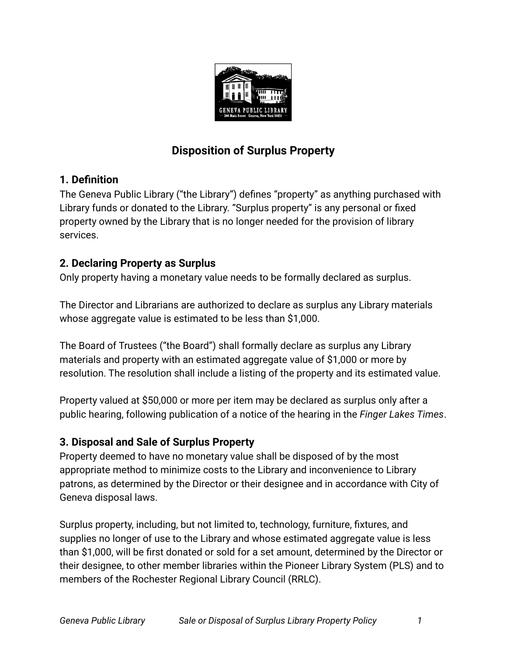

# **Disposition of Surplus Property**

## **1. Definition**

The Geneva Public Library ("the Library") defines "property" as anything purchased with Library funds or donated to the Library. "Surplus property" is any personal or fixed property owned by the Library that is no longer needed for the provision of library services.

# **2. Declaring Property as Surplus**

Only property having a monetary value needs to be formally declared as surplus.

The Director and Librarians are authorized to declare as surplus any Library materials whose aggregate value is estimated to be less than \$1,000.

The Board of Trustees ("the Board") shall formally declare as surplus any Library materials and property with an estimated aggregate value of \$1,000 or more by resolution. The resolution shall include a listing of the property and its estimated value.

Property valued at \$50,000 or more per item may be declared as surplus only after a public hearing, following publication of a notice of the hearing in the *Finger Lakes Times*.

# **3. Disposal and Sale of Surplus Property**

Property deemed to have no monetary value shall be disposed of by the most appropriate method to minimize costs to the Library and inconvenience to Library patrons, as determined by the Director or their designee and in accordance with City of Geneva disposal laws.

Surplus property, including, but not limited to, technology, furniture, fixtures, and supplies no longer of use to the Library and whose estimated aggregate value is less than \$1,000, will be first donated or sold for a set amount, determined by the Director or their designee, to other member libraries within the Pioneer Library System (PLS) and to members of the Rochester Regional Library Council (RRLC).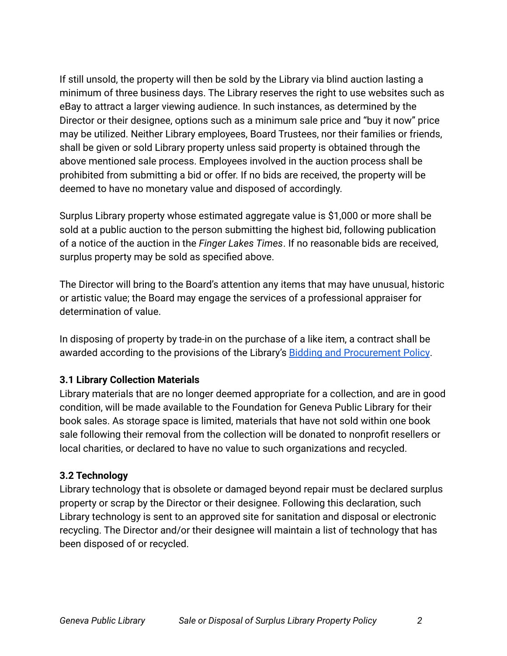If still unsold, the property will then be sold by the Library via blind auction lasting a minimum of three business days. The Library reserves the right to use websites such as eBay to attract a larger viewing audience. In such instances, as determined by the Director or their designee, options such as a minimum sale price and "buy it now" price may be utilized. Neither Library employees, Board Trustees, nor their families or friends, shall be given or sold Library property unless said property is obtained through the above mentioned sale process. Employees involved in the auction process shall be prohibited from submitting a bid or offer. If no bids are received, the property will be deemed to have no monetary value and disposed of accordingly.

Surplus Library property whose estimated aggregate value is \$1,000 or more shall be sold at a public auction to the person submitting the highest bid, following publication of a notice of the auction in the *Finger Lakes Times*. If no reasonable bids are received, surplus property may be sold as specified above.

The Director will bring to the Board's attention any items that may have unusual, historic or artistic value; the Board may engage the services of a professional appraiser for determination of value.

In disposing of property by trade-in on the purchase of a like item, a contract shall be awarded according to the provisions of the Library's [Bidding and Procurement Policy](https://www.genevapubliclibrary.net/uploads/4/9/7/8/49788875/bidding_and_procurement_policy.pdf).

#### **3.1 Library Collection Materials**

Library materials that are no longer deemed appropriate for a collection, and are in good condition, will be made available to the Foundation for Geneva Public Library for their book sales. As storage space is limited, materials that have not sold within one book sale following their removal from the collection will be donated to nonprofit resellers or local charities, or declared to have no value to such organizations and recycled.

#### **3.2 Technology**

Library technology that is obsolete or damaged beyond repair must be declared surplus property or scrap by the Director or their designee. Following this declaration, such Library technology is sent to an approved site for sanitation and disposal or electronic recycling. The Director and/or their designee will maintain a list of technology that has been disposed of or recycled.